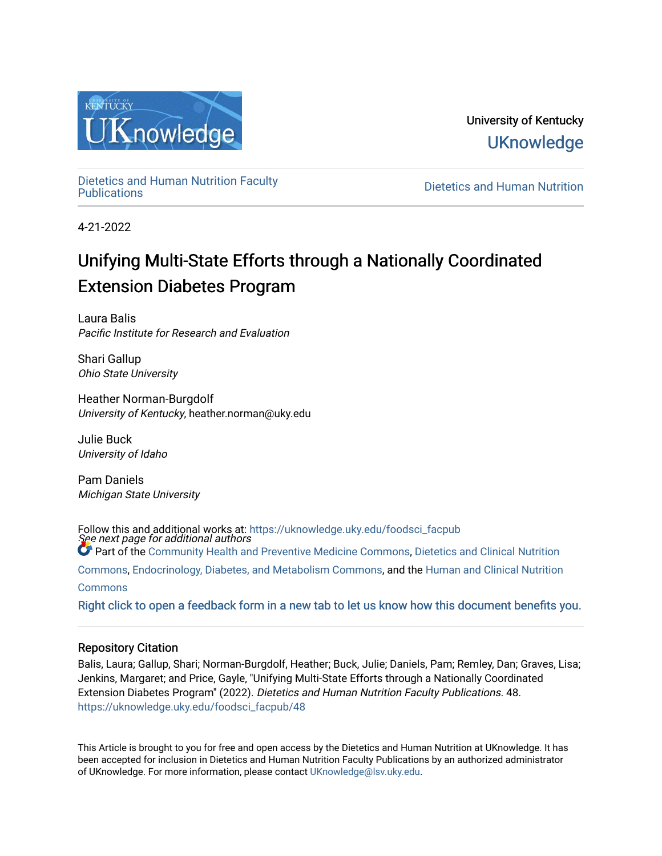

University of Kentucky **UKnowledge** 

[Dietetics and Human Nutrition Faculty](https://uknowledge.uky.edu/foodsci_facpub)

**Dietetics and Human Nutrition** 

4-21-2022

# Unifying Multi-State Efforts through a Nationally Coordinated Extension Diabetes Program

Laura Balis Pacific Institute for Research and Evaluation

Shari Gallup Ohio State University

Heather Norman-Burgdolf University of Kentucky, heather.norman@uky.edu

Julie Buck University of Idaho

Pam Daniels Michigan State University

See next page for additional authors Follow this and additional works at: [https://uknowledge.uky.edu/foodsci\\_facpub](https://uknowledge.uky.edu/foodsci_facpub?utm_source=uknowledge.uky.edu%2Ffoodsci_facpub%2F48&utm_medium=PDF&utm_campaign=PDFCoverPages) **Part of the [Community Health and Preventive Medicine Commons](https://network.bepress.com/hgg/discipline/744?utm_source=uknowledge.uky.edu%2Ffoodsci_facpub%2F48&utm_medium=PDF&utm_campaign=PDFCoverPages), Dietetics and Clinical Nutrition** [Commons](https://network.bepress.com/hgg/discipline/662?utm_source=uknowledge.uky.edu%2Ffoodsci_facpub%2F48&utm_medium=PDF&utm_campaign=PDFCoverPages), [Endocrinology, Diabetes, and Metabolism Commons,](https://network.bepress.com/hgg/discipline/686?utm_source=uknowledge.uky.edu%2Ffoodsci_facpub%2F48&utm_medium=PDF&utm_campaign=PDFCoverPages) and the [Human and Clinical Nutrition](https://network.bepress.com/hgg/discipline/97?utm_source=uknowledge.uky.edu%2Ffoodsci_facpub%2F48&utm_medium=PDF&utm_campaign=PDFCoverPages) **[Commons](https://network.bepress.com/hgg/discipline/97?utm_source=uknowledge.uky.edu%2Ffoodsci_facpub%2F48&utm_medium=PDF&utm_campaign=PDFCoverPages)** 

[Right click to open a feedback form in a new tab to let us know how this document benefits you.](https://uky.az1.qualtrics.com/jfe/form/SV_9mq8fx2GnONRfz7)

## Repository Citation

Balis, Laura; Gallup, Shari; Norman-Burgdolf, Heather; Buck, Julie; Daniels, Pam; Remley, Dan; Graves, Lisa; Jenkins, Margaret; and Price, Gayle, "Unifying Multi-State Efforts through a Nationally Coordinated Extension Diabetes Program" (2022). Dietetics and Human Nutrition Faculty Publications. 48. [https://uknowledge.uky.edu/foodsci\\_facpub/48](https://uknowledge.uky.edu/foodsci_facpub/48?utm_source=uknowledge.uky.edu%2Ffoodsci_facpub%2F48&utm_medium=PDF&utm_campaign=PDFCoverPages) 

This Article is brought to you for free and open access by the Dietetics and Human Nutrition at UKnowledge. It has been accepted for inclusion in Dietetics and Human Nutrition Faculty Publications by an authorized administrator of UKnowledge. For more information, please contact [UKnowledge@lsv.uky.edu.](mailto:UKnowledge@lsv.uky.edu)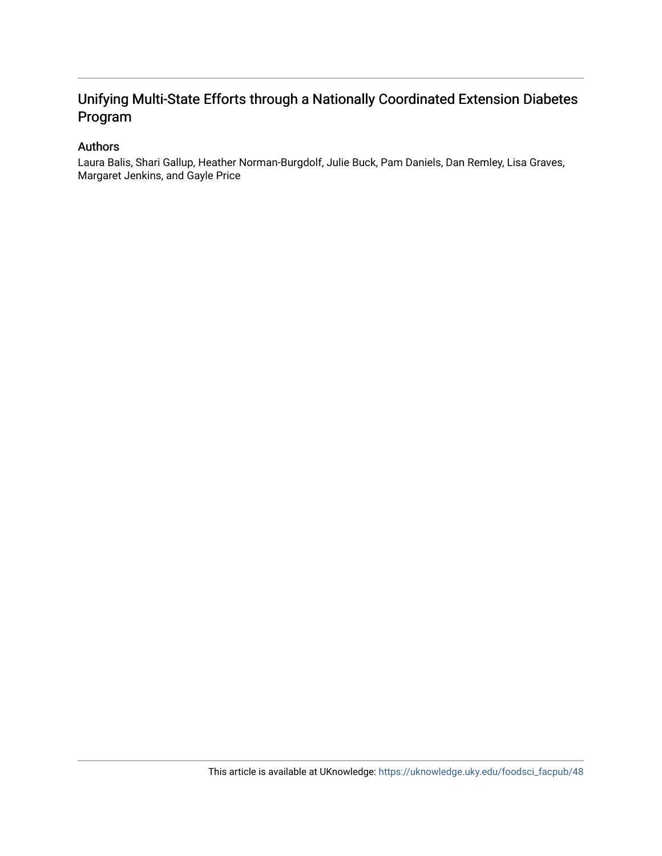## Unifying Multi-State Efforts through a Nationally Coordinated Extension Diabetes Program

## Authors

Laura Balis, Shari Gallup, Heather Norman-Burgdolf, Julie Buck, Pam Daniels, Dan Remley, Lisa Graves, Margaret Jenkins, and Gayle Price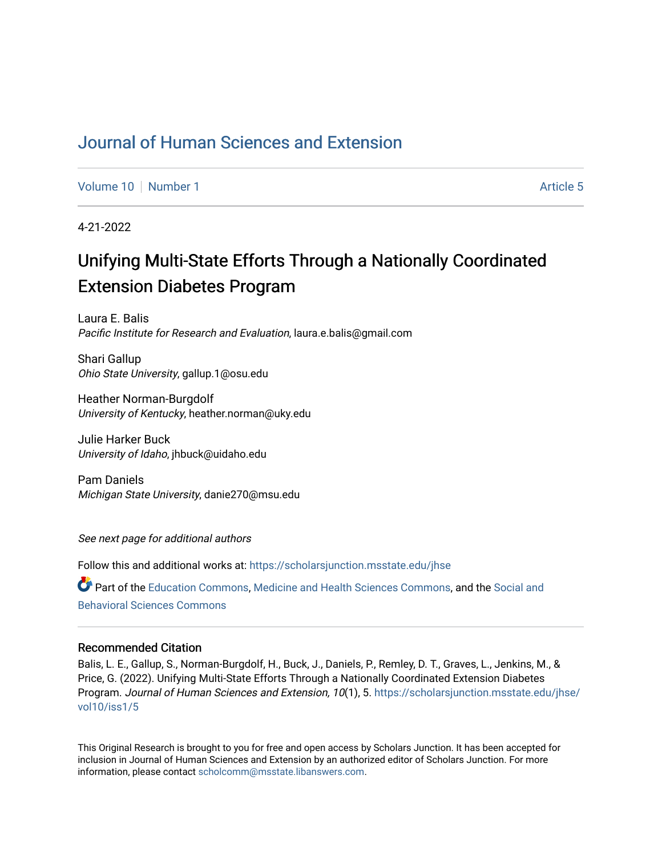## [Journal of Human Sciences and Extension](https://scholarsjunction.msstate.edu/jhse)

[Volume 10](https://scholarsjunction.msstate.edu/jhse/vol10) [Number 1](https://scholarsjunction.msstate.edu/jhse/vol10/iss1) Article 5

4-21-2022

# Unifying Multi-State Efforts Through a Nationally Coordinated Extension Diabetes Program

Laura E. Balis Pacific Institute for Research and Evaluation, laura.e.balis@gmail.com

Shari Gallup Ohio State University, gallup.1@osu.edu

Heather Norman-Burgdolf University of Kentucky, heather.norman@uky.edu

Julie Harker Buck University of Idaho, jhbuck@uidaho.edu

Pam Daniels Michigan State University, danie270@msu.edu

See next page for additional authors

Follow this and additional works at: [https://scholarsjunction.msstate.edu/jhse](https://scholarsjunction.msstate.edu/jhse?utm_source=scholarsjunction.msstate.edu%2Fjhse%2Fvol10%2Fiss1%2F5&utm_medium=PDF&utm_campaign=PDFCoverPages)

Part of the [Education Commons](http://network.bepress.com/hgg/discipline/784?utm_source=scholarsjunction.msstate.edu%2Fjhse%2Fvol10%2Fiss1%2F5&utm_medium=PDF&utm_campaign=PDFCoverPages), [Medicine and Health Sciences Commons,](http://network.bepress.com/hgg/discipline/648?utm_source=scholarsjunction.msstate.edu%2Fjhse%2Fvol10%2Fiss1%2F5&utm_medium=PDF&utm_campaign=PDFCoverPages) and the [Social and](http://network.bepress.com/hgg/discipline/316?utm_source=scholarsjunction.msstate.edu%2Fjhse%2Fvol10%2Fiss1%2F5&utm_medium=PDF&utm_campaign=PDFCoverPages) [Behavioral Sciences Commons](http://network.bepress.com/hgg/discipline/316?utm_source=scholarsjunction.msstate.edu%2Fjhse%2Fvol10%2Fiss1%2F5&utm_medium=PDF&utm_campaign=PDFCoverPages) 

## Recommended Citation

Balis, L. E., Gallup, S., Norman-Burgdolf, H., Buck, J., Daniels, P., Remley, D. T., Graves, L., Jenkins, M., & Price, G. (2022). Unifying Multi-State Efforts Through a Nationally Coordinated Extension Diabetes Program. Journal of Human Sciences and Extension, 10(1), 5. [https://scholarsjunction.msstate.edu/jhse/](https://scholarsjunction.msstate.edu/jhse/vol10/iss1/5?utm_source=scholarsjunction.msstate.edu%2Fjhse%2Fvol10%2Fiss1%2F5&utm_medium=PDF&utm_campaign=PDFCoverPages) [vol10/iss1/5](https://scholarsjunction.msstate.edu/jhse/vol10/iss1/5?utm_source=scholarsjunction.msstate.edu%2Fjhse%2Fvol10%2Fiss1%2F5&utm_medium=PDF&utm_campaign=PDFCoverPages)

This Original Research is brought to you for free and open access by Scholars Junction. It has been accepted for inclusion in Journal of Human Sciences and Extension by an authorized editor of Scholars Junction. For more information, please contact [scholcomm@msstate.libanswers.com](mailto:scholcomm@msstate.libanswers.com).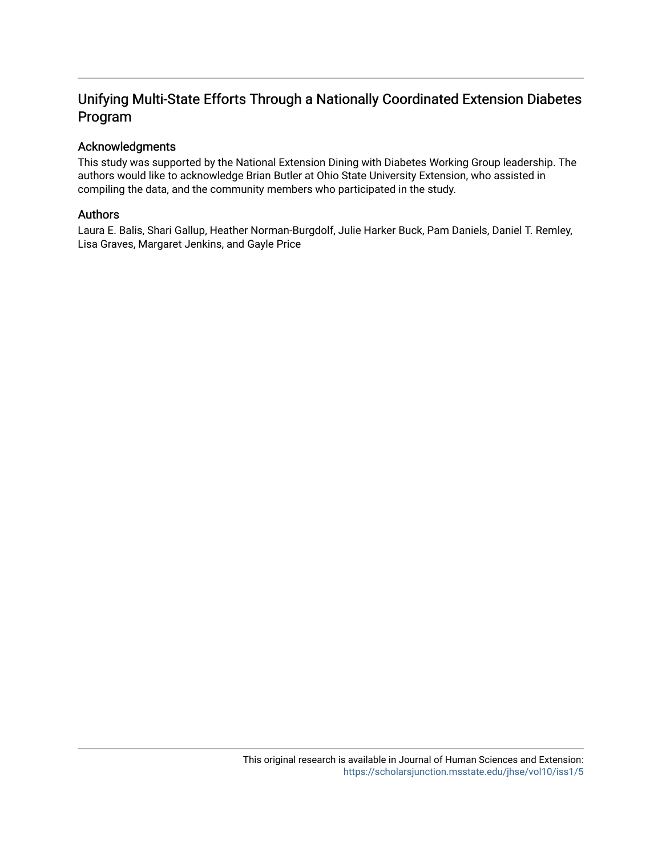## Unifying Multi-State Efforts Through a Nationally Coordinated Extension Diabetes Program

## Acknowledgments

This study was supported by the National Extension Dining with Diabetes Working Group leadership. The authors would like to acknowledge Brian Butler at Ohio State University Extension, who assisted in compiling the data, and the community members who participated in the study.

## Authors

Laura E. Balis, Shari Gallup, Heather Norman-Burgdolf, Julie Harker Buck, Pam Daniels, Daniel T. Remley, Lisa Graves, Margaret Jenkins, and Gayle Price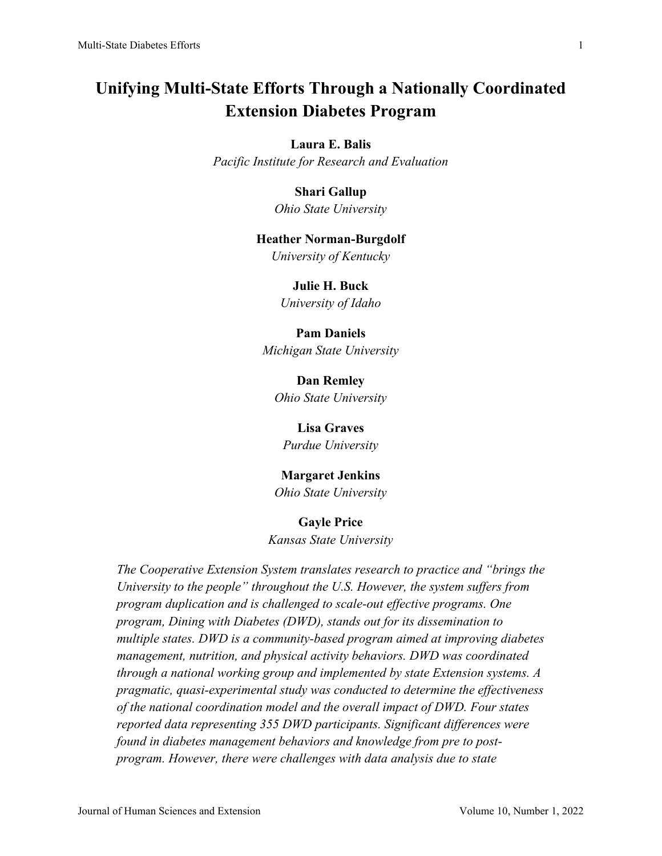## **Unifying Multi-State Efforts Through a Nationally Coordinated Extension Diabetes Program**

## **Laura E. Balis**

*Pacific Institute for Research and Evaluation*

## **Shari Gallup**

*Ohio State University*

#### **Heather Norman-Burgdolf**

*University of Kentucky*

## **Julie H. Buck**

*University of Idaho*

#### **Pam Daniels**

*Michigan State University*

**Dan Remley** *Ohio State University*

# **Lisa Graves**

*Purdue University*

## **Margaret Jenkins**

*Ohio State University*

#### **Gayle Price**

*Kansas State University*

*The Cooperative Extension System translates research to practice and "brings the University to the people" throughout the U.S. However, the system suffers from program duplication and is challenged to scale-out effective programs. One program, Dining with Diabetes (DWD), stands out for its dissemination to multiple states. DWD is a community-based program aimed at improving diabetes management, nutrition, and physical activity behaviors. DWD was coordinated through a national working group and implemented by state Extension systems. A pragmatic, quasi-experimental study was conducted to determine the effectiveness of the national coordination model and the overall impact of DWD. Four states reported data representing 355 DWD participants. Significant differences were found in diabetes management behaviors and knowledge from pre to postprogram. However, there were challenges with data analysis due to state*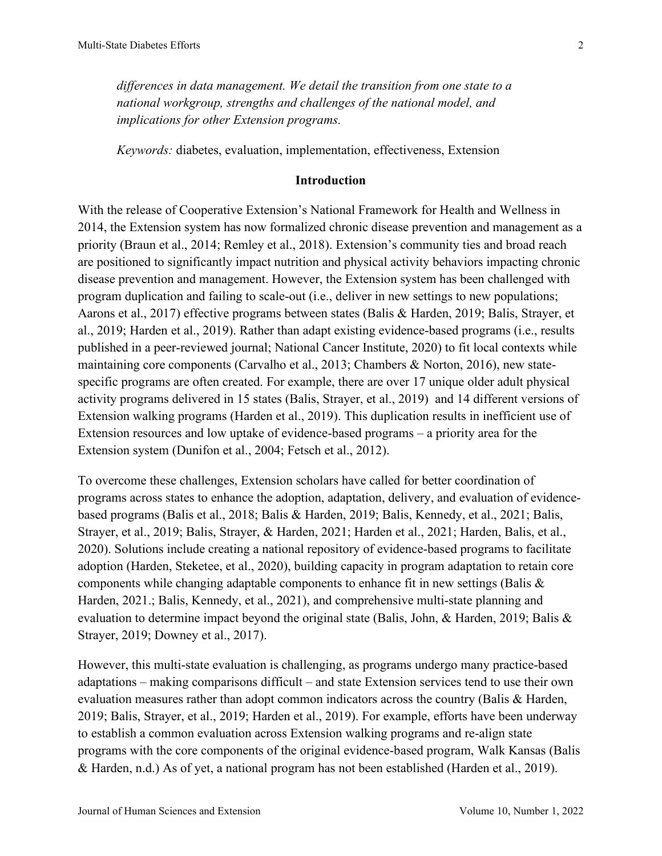*differences in data management. We detail the transition from one state to a national workgroup, strengths and challenges of the national model, and implications for other Extension programs.*

*Keywords:* diabetes, evaluation, implementation, effectiveness, Extension

## **Introduction**

With the release of Cooperative Extension's National Framework for Health and Wellness in 2014, the Extension system has now formalized chronic disease prevention and management as a priority (Braun et al., 2014; Remley et al., 2018). Extension's community ties and broad reach are positioned to significantly impact nutrition and physical activity behaviors impacting chronic disease prevention and management. However, the Extension system has been challenged with program duplication and failing to scale-out (i.e., deliver in new settings to new populations; Aarons et al., 2017) effective programs between states (Balis & Harden, 2019; Balis, Strayer, et al., 2019; Harden et al., 2019). Rather than adapt existing evidence-based programs (i.e., results published in a peer-reviewed journal; National Cancer Institute, 2020) to fit local contexts while maintaining core components (Carvalho et al., 2013; Chambers & Norton, 2016), new statespecific programs are often created. For example, there are over 17 unique older adult physical activity programs delivered in 15 states (Balis, Strayer, et al., 2019) and 14 different versions of Extension walking programs (Harden et al., 2019). This duplication results in inefficient use of Extension resources and low uptake of evidence-based programs – a priority area for the Extension system (Dunifon et al., 2004; Fetsch et al., 2012).

To overcome these challenges, Extension scholars have called for better coordination of programs across states to enhance the adoption, adaptation, delivery, and evaluation of evidencebased programs (Balis et al., 2018; Balis & Harden, 2019; Balis, Kennedy, et al., 2021; Balis, Strayer, et al., 2019; Balis, Strayer, & Harden, 2021; Harden et al., 2021; Harden, Balis, et al., 2020). Solutions include creating a national repository of evidence-based programs to facilitate adoption (Harden, Steketee, et al., 2020), building capacity in program adaptation to retain core components while changing adaptable components to enhance fit in new settings (Balis & Harden, 2021.; Balis, Kennedy, et al., 2021), and comprehensive multi-state planning and evaluation to determine impact beyond the original state (Balis, John, & Harden, 2019; Balis & Strayer, 2019; Downey et al., 2017).

However, this multi-state evaluation is challenging, as programs undergo many practice-based adaptations – making comparisons difficult – and state Extension services tend to use their own evaluation measures rather than adopt common indicators across the country (Balis & Harden, 2019; Balis, Strayer, et al., 2019; Harden et al., 2019). For example, efforts have been underway to establish a common evaluation across Extension walking programs and re-align state programs with the core components of the original evidence-based program, Walk Kansas (Balis & Harden, n.d.) As of yet, a national program has not been established (Harden et al., 2019).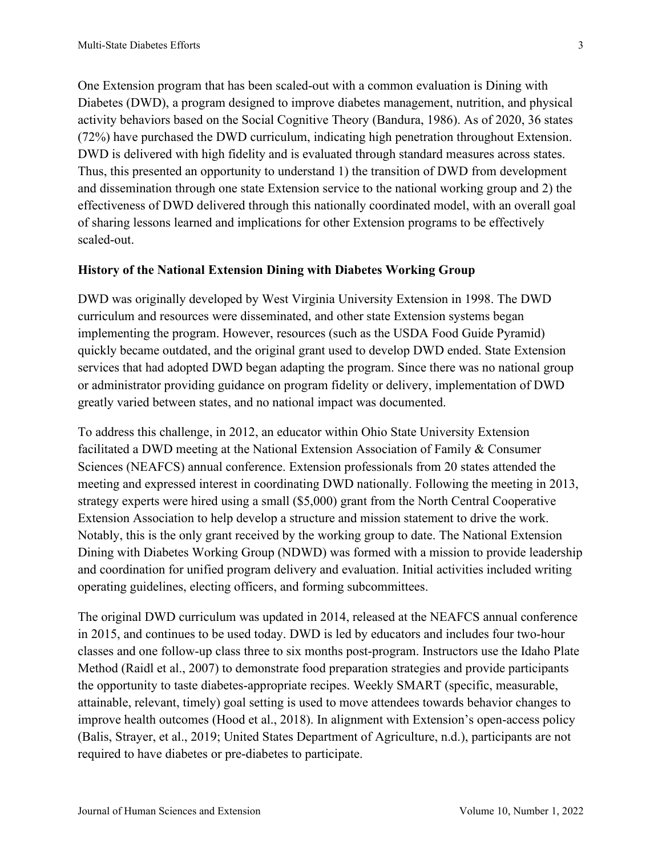One Extension program that has been scaled-out with a common evaluation is Dining with Diabetes (DWD), a program designed to improve diabetes management, nutrition, and physical activity behaviors based on the Social Cognitive Theory (Bandura, 1986). As of 2020, 36 states (72%) have purchased the DWD curriculum, indicating high penetration throughout Extension. DWD is delivered with high fidelity and is evaluated through standard measures across states. Thus, this presented an opportunity to understand 1) the transition of DWD from development and dissemination through one state Extension service to the national working group and 2) the effectiveness of DWD delivered through this nationally coordinated model, with an overall goal of sharing lessons learned and implications for other Extension programs to be effectively scaled-out.

## **History of the National Extension Dining with Diabetes Working Group**

DWD was originally developed by West Virginia University Extension in 1998. The DWD curriculum and resources were disseminated, and other state Extension systems began implementing the program. However, resources (such as the USDA Food Guide Pyramid) quickly became outdated, and the original grant used to develop DWD ended. State Extension services that had adopted DWD began adapting the program. Since there was no national group or administrator providing guidance on program fidelity or delivery, implementation of DWD greatly varied between states, and no national impact was documented.

To address this challenge, in 2012, an educator within Ohio State University Extension facilitated a DWD meeting at the National Extension Association of Family & Consumer Sciences (NEAFCS) annual conference. Extension professionals from 20 states attended the meeting and expressed interest in coordinating DWD nationally. Following the meeting in 2013, strategy experts were hired using a small (\$5,000) grant from the North Central Cooperative Extension Association to help develop a structure and mission statement to drive the work. Notably, this is the only grant received by the working group to date. The National Extension Dining with Diabetes Working Group (NDWD) was formed with a mission to provide leadership and coordination for unified program delivery and evaluation. Initial activities included writing operating guidelines, electing officers, and forming subcommittees.

The original DWD curriculum was updated in 2014, released at the NEAFCS annual conference in 2015, and continues to be used today. DWD is led by educators and includes four two-hour classes and one follow-up class three to six months post-program. Instructors use the Idaho Plate Method (Raidl et al., 2007) to demonstrate food preparation strategies and provide participants the opportunity to taste diabetes-appropriate recipes. Weekly SMART (specific, measurable, attainable, relevant, timely) goal setting is used to move attendees towards behavior changes to improve health outcomes (Hood et al., 2018). In alignment with Extension's open-access policy (Balis, Strayer, et al., 2019; United States Department of Agriculture, n.d.), participants are not required to have diabetes or pre-diabetes to participate.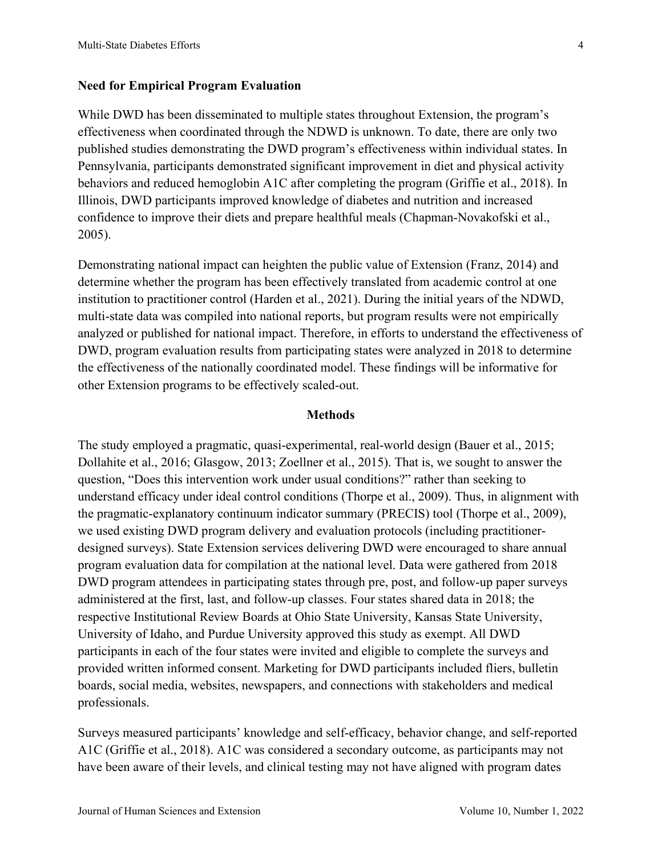## **Need for Empirical Program Evaluation**

While DWD has been disseminated to multiple states throughout Extension, the program's effectiveness when coordinated through the NDWD is unknown. To date, there are only two published studies demonstrating the DWD program's effectiveness within individual states. In Pennsylvania, participants demonstrated significant improvement in diet and physical activity behaviors and reduced hemoglobin A1C after completing the program (Griffie et al., 2018). In Illinois, DWD participants improved knowledge of diabetes and nutrition and increased confidence to improve their diets and prepare healthful meals (Chapman-Novakofski et al., 2005).

Demonstrating national impact can heighten the public value of Extension (Franz, 2014) and determine whether the program has been effectively translated from academic control at one institution to practitioner control (Harden et al., 2021). During the initial years of the NDWD, multi-state data was compiled into national reports, but program results were not empirically analyzed or published for national impact. Therefore, in efforts to understand the effectiveness of DWD, program evaluation results from participating states were analyzed in 2018 to determine the effectiveness of the nationally coordinated model. These findings will be informative for other Extension programs to be effectively scaled-out.

#### **Methods**

The study employed a pragmatic, quasi-experimental, real-world design (Bauer et al., 2015; Dollahite et al., 2016; Glasgow, 2013; Zoellner et al., 2015). That is, we sought to answer the question, "Does this intervention work under usual conditions?" rather than seeking to understand efficacy under ideal control conditions (Thorpe et al., 2009). Thus, in alignment with the pragmatic-explanatory continuum indicator summary (PRECIS) tool (Thorpe et al., 2009), we used existing DWD program delivery and evaluation protocols (including practitionerdesigned surveys). State Extension services delivering DWD were encouraged to share annual program evaluation data for compilation at the national level. Data were gathered from 2018 DWD program attendees in participating states through pre, post, and follow-up paper surveys administered at the first, last, and follow-up classes. Four states shared data in 2018; the respective Institutional Review Boards at Ohio State University, Kansas State University, University of Idaho, and Purdue University approved this study as exempt. All DWD participants in each of the four states were invited and eligible to complete the surveys and provided written informed consent. Marketing for DWD participants included fliers, bulletin boards, social media, websites, newspapers, and connections with stakeholders and medical professionals.

Surveys measured participants' knowledge and self-efficacy, behavior change, and self-reported A1C (Griffie et al., 2018). A1C was considered a secondary outcome, as participants may not have been aware of their levels, and clinical testing may not have aligned with program dates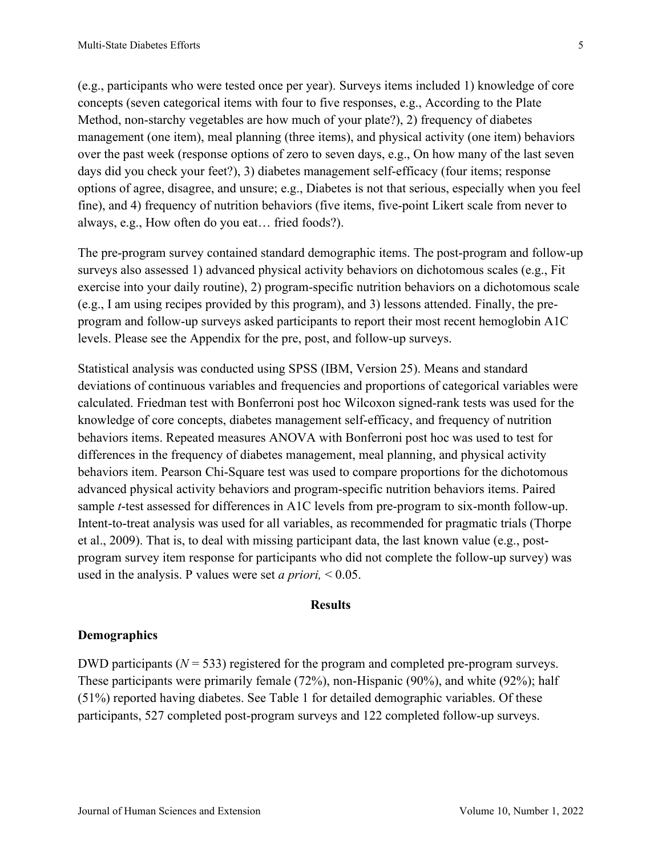(e.g., participants who were tested once per year). Surveys items included 1) knowledge of core concepts (seven categorical items with four to five responses, e.g., According to the Plate Method, non-starchy vegetables are how much of your plate?), 2) frequency of diabetes management (one item), meal planning (three items), and physical activity (one item) behaviors over the past week (response options of zero to seven days, e.g., On how many of the last seven days did you check your feet?), 3) diabetes management self-efficacy (four items; response options of agree, disagree, and unsure; e.g., Diabetes is not that serious, especially when you feel fine), and 4) frequency of nutrition behaviors (five items, five-point Likert scale from never to always, e.g., How often do you eat… fried foods?).

The pre-program survey contained standard demographic items. The post-program and follow-up surveys also assessed 1) advanced physical activity behaviors on dichotomous scales (e.g., Fit exercise into your daily routine), 2) program-specific nutrition behaviors on a dichotomous scale (e.g., I am using recipes provided by this program), and 3) lessons attended. Finally, the preprogram and follow-up surveys asked participants to report their most recent hemoglobin A1C levels. Please see the Appendix for the pre, post, and follow-up surveys.

Statistical analysis was conducted using SPSS (IBM, Version 25). Means and standard deviations of continuous variables and frequencies and proportions of categorical variables were calculated. Friedman test with Bonferroni post hoc Wilcoxon signed-rank tests was used for the knowledge of core concepts, diabetes management self-efficacy, and frequency of nutrition behaviors items. Repeated measures ANOVA with Bonferroni post hoc was used to test for differences in the frequency of diabetes management, meal planning, and physical activity behaviors item. Pearson Chi-Square test was used to compare proportions for the dichotomous advanced physical activity behaviors and program-specific nutrition behaviors items. Paired sample *t*-test assessed for differences in A1C levels from pre-program to six-month follow-up. Intent-to-treat analysis was used for all variables, as recommended for pragmatic trials (Thorpe et al., 2009). That is, to deal with missing participant data, the last known value (e.g., postprogram survey item response for participants who did not complete the follow-up survey) was used in the analysis. P values were set *a priori,* < 0.05.

#### **Results**

## **Demographics**

DWD participants ( $N = 533$ ) registered for the program and completed pre-program surveys. These participants were primarily female (72%), non-Hispanic (90%), and white (92%); half (51%) reported having diabetes. See Table 1 for detailed demographic variables. Of these participants, 527 completed post-program surveys and 122 completed follow-up surveys.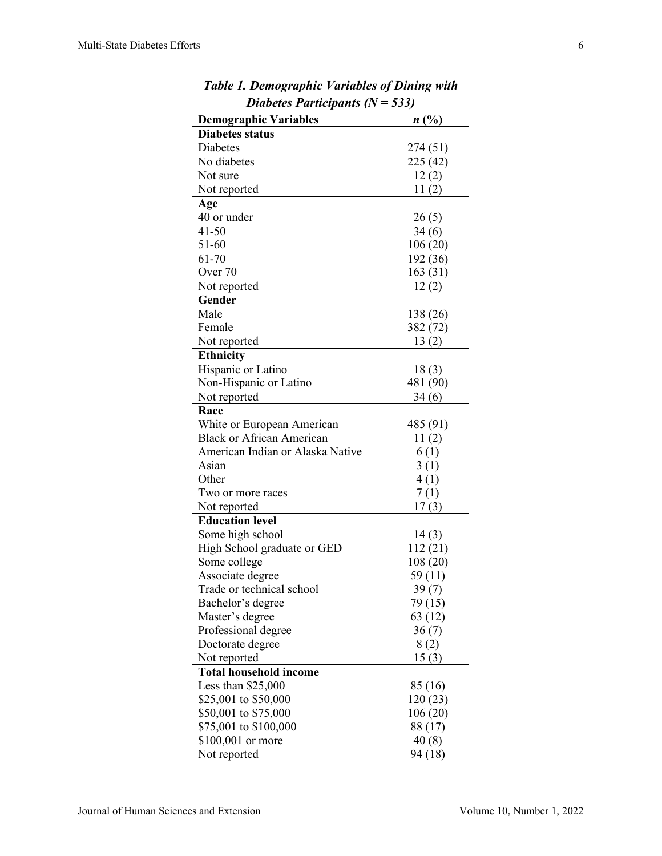| $P$ <i>abeles 1 arrivepands</i> $\mu$         | vvv,     |
|-----------------------------------------------|----------|
| <b>Demographic Variables</b>                  | n(%)     |
| <b>Diabetes status</b>                        |          |
| Diabetes                                      | 274 (51) |
| No diabetes                                   | 225 (42) |
| Not sure                                      | 12(2)    |
| Not reported                                  | 11(2)    |
| Age                                           |          |
| 40 or under                                   | 26(5)    |
| 41-50                                         | 34(6)    |
| 51-60                                         | 106(20)  |
| 61-70                                         | 192 (36) |
| Over 70                                       | 163 (31) |
| Not reported                                  | 12(2)    |
| Gender                                        |          |
| Male                                          | 138 (26) |
| Female                                        | 382 (72) |
| Not reported                                  | 13(2)    |
| <b>Ethnicity</b>                              |          |
| Hispanic or Latino                            | 18(3)    |
| Non-Hispanic or Latino                        | 481 (90) |
| Not reported                                  | 34(6)    |
| Race                                          |          |
| White or European American                    | 485 (91) |
| <b>Black or African American</b>              | 11(2)    |
| American Indian or Alaska Native              | 6(1)     |
| Asian                                         | 3(1)     |
| Other                                         | 4(1)     |
| Two or more races                             | 7(1)     |
| Not reported                                  | 17(3)    |
| <b>Education level</b>                        |          |
| Some high school                              | 14(3)    |
| High School graduate or GED                   | 112(21)  |
| Some college                                  | 108 (20) |
| Associate degree                              | 59 (11)  |
| Trade or technical school                     | 39(7)    |
| Bachelor's degree                             | 79 (15)  |
| Master's degree                               | 63 (12)  |
| Professional degree                           | 36(7)    |
| Doctorate degree                              | 8(2)     |
|                                               | 15(3)    |
| Not reported<br><b>Total household income</b> |          |
|                                               |          |
| Less than $$25,000$                           | 85 (16)  |
| \$25,001 to \$50,000                          | 120 (23) |
| \$50,001 to \$75,000                          | 106(20)  |
| \$75,001 to \$100,000                         | 88 (17)  |
| $$100,001$ or more                            | 40(8)    |
| Not reported                                  | 94 (18)  |

*Table 1. Demographic Variables of Dining with Diabetes Participants (N = 533)*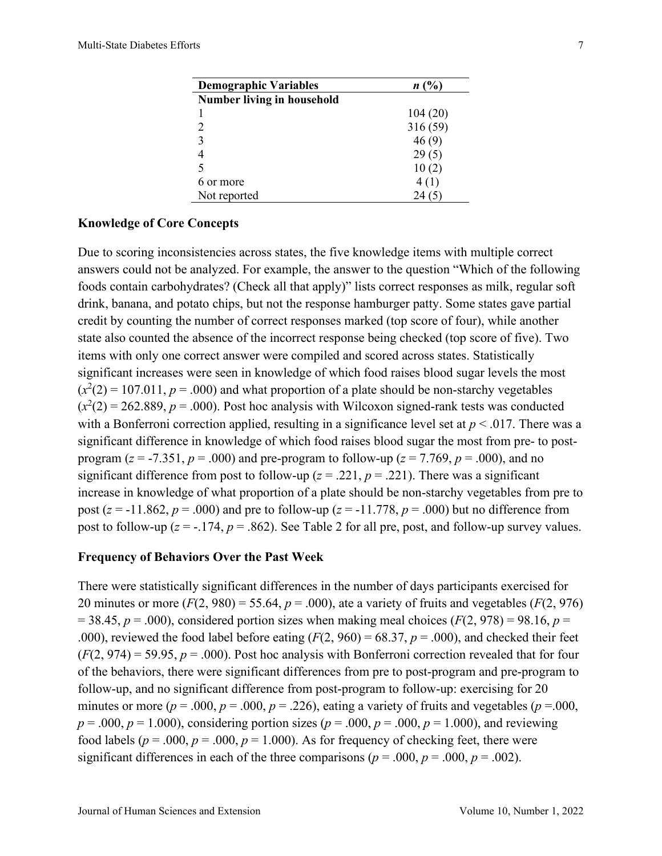| <b>Demographic Variables</b>      | n(%)    |
|-----------------------------------|---------|
| <b>Number living in household</b> |         |
|                                   | 104(20) |
| 2                                 | 316(59) |
| 3                                 | 46(9)   |
| $\overline{4}$                    | 29(5)   |
| 5                                 | 10(2)   |
| 6 or more                         | 4(1)    |
| Not reported                      | 24      |
|                                   |         |

## **Knowledge of Core Concepts**

Due to scoring inconsistencies across states, the five knowledge items with multiple correct answers could not be analyzed. For example, the answer to the question "Which of the following foods contain carbohydrates? (Check all that apply)" lists correct responses as milk, regular soft drink, banana, and potato chips, but not the response hamburger patty. Some states gave partial credit by counting the number of correct responses marked (top score of four), while another state also counted the absence of the incorrect response being checked (top score of five). Two items with only one correct answer were compiled and scored across states. Statistically significant increases were seen in knowledge of which food raises blood sugar levels the most  $(x^2(2) = 107.011, p = .000)$  and what proportion of a plate should be non-starchy vegetables  $(x^2(2) = 262.889, p = .000)$ . Post hoc analysis with Wilcoxon signed-rank tests was conducted with a Bonferroni correction applied, resulting in a significance level set at *p* < .017. There was a significant difference in knowledge of which food raises blood sugar the most from pre- to postprogram ( $z = -7.351$ ,  $p = .000$ ) and pre-program to follow-up ( $z = 7.769$ ,  $p = .000$ ), and no significant difference from post to follow-up ( $z = .221$ ,  $p = .221$ ). There was a significant increase in knowledge of what proportion of a plate should be non-starchy vegetables from pre to post ( $z = -11.862$ ,  $p = .000$ ) and pre to follow-up ( $z = -11.778$ ,  $p = .000$ ) but no difference from post to follow-up  $(z = -174, p = 0.862)$ . See Table 2 for all pre, post, and follow-up survey values.

#### **Frequency of Behaviors Over the Past Week**

There were statistically significant differences in the number of days participants exercised for 20 minutes or more  $(F(2, 980) = 55.64, p = .000)$ , ate a variety of fruits and vegetables  $(F(2, 976))$  $= 38.45$ ,  $p = .000$ ), considered portion sizes when making meal choices ( $F(2, 978) = 98.16$ ,  $p =$ .000), reviewed the food label before eating  $(F(2, 960) = 68.37, p = .000)$ , and checked their feet  $(F(2, 974) = 59.95, p = .000)$ . Post hoc analysis with Bonferroni correction revealed that for four of the behaviors, there were significant differences from pre to post-program and pre-program to follow-up, and no significant difference from post-program to follow-up: exercising for 20 minutes or more ( $p = .000$ ,  $p = .000$ ,  $p = .226$ ), eating a variety of fruits and vegetables ( $p = .000$ ,  $p = .000, p = 1.000$ , considering portion sizes ( $p = .000, p = .000, p = 1.000$ ), and reviewing food labels ( $p = .000$ ,  $p = .000$ ,  $p = 1.000$ ). As for frequency of checking feet, there were significant differences in each of the three comparisons ( $p = .000$ ,  $p = .000$ ,  $p = .002$ ).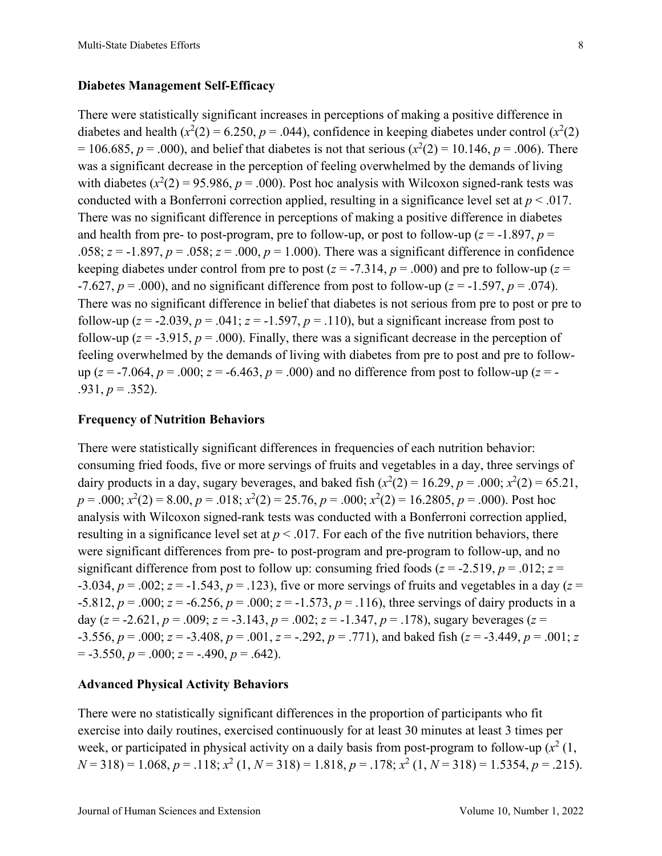#### **Diabetes Management Self-Efficacy**

There were statistically significant increases in perceptions of making a positive difference in diabetes and health  $(x^2(2) = 6.250, p = .044)$ , confidence in keeping diabetes under control  $(x^2(2))$  $= 106.685, p = .000$ , and belief that diabetes is not that serious ( $x^2(2) = 10.146, p = .006$ ). There was a significant decrease in the perception of feeling overwhelmed by the demands of living with diabetes  $(x^2(2) = 95.986, p = .000)$ . Post hoc analysis with Wilcoxon signed-rank tests was conducted with a Bonferroni correction applied, resulting in a significance level set at  $p < .017$ . There was no significant difference in perceptions of making a positive difference in diabetes and health from pre- to post-program, pre to follow-up, or post to follow-up ( $z = -1.897$ ,  $p =$ .058;  $z = -1.897$ ,  $p = .058$ ;  $z = .000$ ,  $p = 1.000$ ). There was a significant difference in confidence keeping diabetes under control from pre to post ( $z = -7.314$ ,  $p = .000$ ) and pre to follow-up ( $z =$  $-7.627$ ,  $p = .000$ ), and no significant difference from post to follow-up ( $z = -1.597$ ,  $p = .074$ ). There was no significant difference in belief that diabetes is not serious from pre to post or pre to follow-up ( $z = -2.039$ ,  $p = .041$ ;  $z = -1.597$ ,  $p = .110$ ), but a significant increase from post to follow-up ( $z = -3.915$ ,  $p = .000$ ). Finally, there was a significant decrease in the perception of feeling overwhelmed by the demands of living with diabetes from pre to post and pre to followup ( $z = -7.064$ ,  $p = .000$ ;  $z = -6.463$ ,  $p = .000$ ) and no difference from post to follow-up ( $z = -1$  $.931, p = .352$ ).

#### **Frequency of Nutrition Behaviors**

There were statistically significant differences in frequencies of each nutrition behavior: consuming fried foods, five or more servings of fruits and vegetables in a day, three servings of dairy products in a day, sugary beverages, and baked fish  $(x^2(2) = 16.29, p = .000; x^2(2) = 65.21,$  $p = .000; x^2(2) = 8.00, p = .018; x^2(2) = 25.76, p = .000; x^2(2) = 16.2805, p = .000$ . Post hoc analysis with Wilcoxon signed-rank tests was conducted with a Bonferroni correction applied, resulting in a significance level set at  $p < .017$ . For each of the five nutrition behaviors, there were significant differences from pre- to post-program and pre-program to follow-up, and no significant difference from post to follow up: consuming fried foods ( $z = -2.519$ ,  $p = .012$ ;  $z =$  $-3.034$ ,  $p = .002$ ;  $z = -1.543$ ,  $p = .123$ ), five or more servings of fruits and vegetables in a day ( $z =$  $-5.812$ ,  $p = .000$ ;  $z = -6.256$ ,  $p = .000$ ;  $z = -1.573$ ,  $p = .116$ ), three servings of dairy products in a day ( $z = -2.621$ ,  $p = .009$ ;  $z = -3.143$ ,  $p = .002$ ;  $z = -1.347$ ,  $p = .178$ ), sugary beverages ( $z =$  $-3.556$ ,  $p = .000$ ;  $z = -3.408$ ,  $p = .001$ ,  $z = -.292$ ,  $p = .771$ ), and baked fish ( $z = -3.449$ ,  $p = .001$ ;  $z =$  $=$  -3.550,  $p = .000$ ;  $z = -.490$ ,  $p = .642$ ).

## **Advanced Physical Activity Behaviors**

There were no statistically significant differences in the proportion of participants who fit exercise into daily routines, exercised continuously for at least 30 minutes at least 3 times per week, or participated in physical activity on a daily basis from post-program to follow-up  $(x^2(1,$ *N* = 318) = 1.068, *p* = .118; *x*<sup>2</sup> (1, *N* = 318) = 1.818, *p* = .178; *x*<sup>2</sup> (1, *N* = 318) = 1.5354, *p* = .215).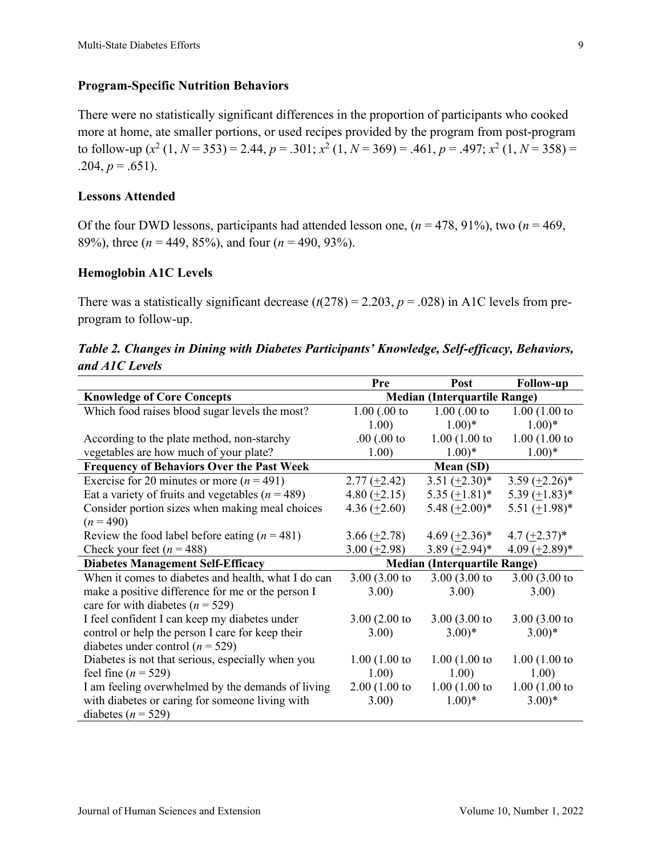## **Program-Specific Nutrition Behaviors**

There were no statistically significant differences in the proportion of participants who cooked more at home, ate smaller portions, or used recipes provided by the program from post-program to follow-up  $(x^2 (1, N = 353) = 2.44, p = .301; x^2 (1, N = 369) = .461, p = .497; x^2 (1, N = 358) =$ .204,  $p = .651$ ).

## **Lessons Attended**

Of the four DWD lessons, participants had attended lesson one, (*n* = 478, 91%), two (*n* = 469, 89%), three (*n* = 449, 85%), and four (*n* = 490, 93%).

## **Hemoglobin A1C Levels**

There was a statistically significant decrease  $(t(278) = 2.203, p = .028)$  in A1C levels from preprogram to follow-up.

|                | Table 2. Changes in Dining with Diabetes Participants' Knowledge, Self-efficacy, Behaviors, |  |  |  |
|----------------|---------------------------------------------------------------------------------------------|--|--|--|
| and A1C Levels |                                                                                             |  |  |  |

|                                                      | Pre                                 | Post                | <b>Follow-up</b>    |  |
|------------------------------------------------------|-------------------------------------|---------------------|---------------------|--|
| <b>Knowledge of Core Concepts</b>                    | <b>Median (Interquartile Range)</b> |                     |                     |  |
| Which food raises blood sugar levels the most?       | $1.00$ $(.00$ to                    | $1.00$ (.00 to      | $1.00(1.00)$ to     |  |
|                                                      | 1.00)                               | $1.00)*$            | $1.00)*$            |  |
| According to the plate method, non-starchy           | $.00$ (.00 to                       | 1.00(1.00 to        | 1.00(1.00 to        |  |
| vegetables are how much of your plate?               | 1.00)                               | $1.00)*$            | $1.00)*$            |  |
| <b>Frequency of Behaviors Over the Past Week</b>     | Mean (SD)                           |                     |                     |  |
| Exercise for 20 minutes or more $(n = 491)$          | $2.77 \left( \pm 2.42 \right)$      | $3.51 (+2.30)^*$    | 3.59 $(\pm 2.26)^*$ |  |
| Eat a variety of fruits and vegetables ( $n = 489$ ) | 4.80 $(\pm 2.15)$                   | $5.35 (+1.81)^*$    | 5.39 $(\pm 1.83)^*$ |  |
| Consider portion sizes when making meal choices      | 4.36 $(\pm 2.60)$                   | 5.48 $(\pm 2.00)^*$ | 5.51 $(\pm 1.98)^*$ |  |
| $(n = 490)$                                          |                                     |                     |                     |  |
| Review the food label before eating $(n = 481)$      | $3.66 (+2.78)$                      | 4.69 $(+2.36)$ *    | $4.7 (+2.37)^*$     |  |
| Check your feet ( $n = 488$ )                        | $3.00 (+2.98)$                      | $3.89 (+2.94)^*$    | $4.09 (+2.89)^*$    |  |
| <b>Diabetes Management Self-Efficacy</b>             | <b>Median (Interquartile Range)</b> |                     |                     |  |
| When it comes to diabetes and health, what I do can  | $3.00(3.00)$ to                     | $3.00(3.00)$ to     | $3.00(3.00)$ to     |  |
| make a positive difference for me or the person I    | 3.00)                               | 3.00)               | 3.00)               |  |
| care for with diabetes ( $n = 529$ )                 |                                     |                     |                     |  |
| I feel confident I can keep my diabetes under        | $3.00(2.00)$ to                     | $3.00(3.00)$ to     | $3.00(3.00)$ to     |  |
| control or help the person I care for keep their     | 3.00)                               | $(3.00)*$           | $(3.00)*$           |  |
| diabetes under control ( $n = 529$ )                 |                                     |                     |                     |  |
| Diabetes is not that serious, especially when you    | 1.00(1.00 to                        | 1.00(1.00 to        | 1.00(1.00 to        |  |
| feel fine ( $n = 529$ )                              | 1.00)                               | 1.00)               | 1.00)               |  |
| I am feeling overwhelmed by the demands of living    | 2.00(1.00 to                        | 1.00(1.00 to        | 1.00(1.00 to        |  |
| with diabetes or caring for someone living with      | 3.00)                               | $1.00)*$            | $(3.00)*$           |  |
| diabetes ( $n = 529$ )                               |                                     |                     |                     |  |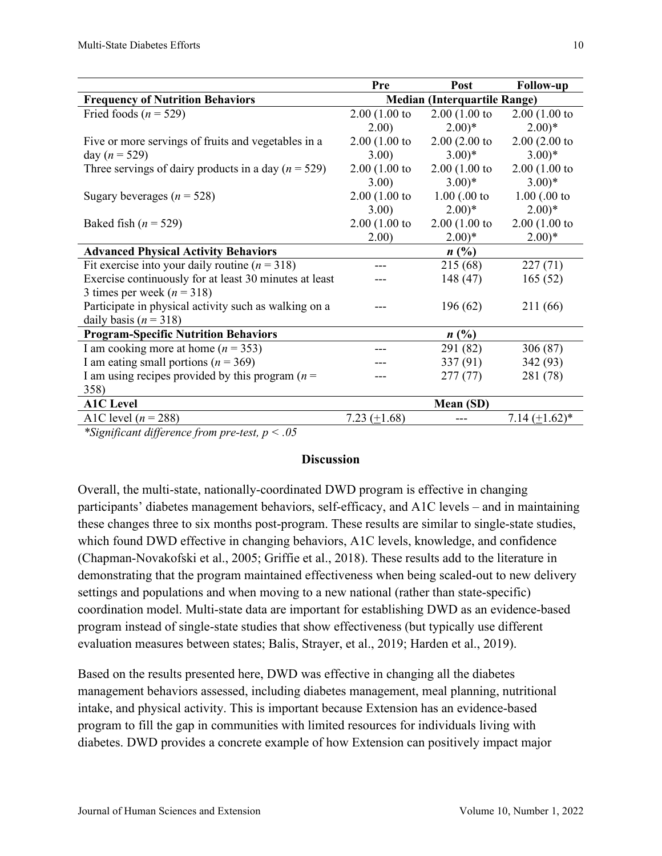|                                                         | Pre                                 | Post            | <b>Follow-up</b>    |  |
|---------------------------------------------------------|-------------------------------------|-----------------|---------------------|--|
| <b>Frequency of Nutrition Behaviors</b>                 | <b>Median (Interquartile Range)</b> |                 |                     |  |
| Fried foods ( $n = 529$ )                               | 2.00(1.00 to                        | 2.00(1.00 to    | 2.00(1.00 to        |  |
|                                                         | 2.00)                               | $(2.00)*$       | $2.00)*$            |  |
| Five or more servings of fruits and vegetables in a     | 2.00(1.00 to                        | $2.00(2.00)$ to | $2.00(2.00)$ to     |  |
| day ( $n = 529$ )                                       | 3.00                                | $(3.00)*$       | $(3.00)*$           |  |
| Three servings of dairy products in a day ( $n = 529$ ) | 2.00(1.00 to                        | 2.00(1.00 to    | 2.00(1.00 to        |  |
|                                                         | 3.00)                               | $(3.00)*$       | $(3.00)*$           |  |
| Sugary beverages ( $n = 528$ )                          | 2.00(1.00 to                        | $1.00$ (.00 to  | $1.00$ (.00 to      |  |
|                                                         | 3.00                                | $2.00)*$        | $2.00)*$            |  |
| Baked fish ( $n = 529$ )                                | 2.00(1.00 to                        | 2.00(1.00 to    | 2.00(1.00 to        |  |
|                                                         | 2.00)                               | $2.00)*$        | $(2.00)*$           |  |
| <b>Advanced Physical Activity Behaviors</b>             |                                     | $n(^{0}/_{0})$  |                     |  |
| Fit exercise into your daily routine ( $n = 318$ )      |                                     | 215 (68)        | 227(71)             |  |
| Exercise continuously for at least 30 minutes at least  |                                     | 148 (47)        | 165(52)             |  |
| 3 times per week ( $n = 318$ )                          |                                     |                 |                     |  |
| Participate in physical activity such as walking on a   | 196(62)                             |                 | 211 (66)            |  |
| daily basis ( $n = 318$ )                               |                                     |                 |                     |  |
| <b>Program-Specific Nutrition Behaviors</b>             |                                     | $n\ (\%)$       |                     |  |
| I am cooking more at home ( $n = 353$ )                 |                                     | 291 (82)        | 306(87)             |  |
| I am eating small portions ( $n = 369$ )                |                                     | 337(91)         | 342 (93)            |  |
| I am using recipes provided by this program $(n =$      |                                     | 277(77)         | 281 (78)            |  |
| 358)                                                    |                                     |                 |                     |  |
| <b>A1C</b> Level                                        |                                     | Mean (SD)       |                     |  |
| A1C level $(n = 288)$                                   | 7.23 $(\pm 1.68)$                   |                 | 7.14 $(\pm 1.62)^*$ |  |
| $\sim$<br>$\sim$ $\sim$<br>1.00<br>$\cdots$             |                                     |                 |                     |  |

*\*Significant difference from pre-test, p < .05*

## **Discussion**

Overall, the multi-state, nationally-coordinated DWD program is effective in changing participants' diabetes management behaviors, self-efficacy, and A1C levels – and in maintaining these changes three to six months post-program. These results are similar to single-state studies, which found DWD effective in changing behaviors, A1C levels, knowledge, and confidence (Chapman-Novakofski et al., 2005; Griffie et al., 2018). These results add to the literature in demonstrating that the program maintained effectiveness when being scaled-out to new delivery settings and populations and when moving to a new national (rather than state-specific) coordination model. Multi-state data are important for establishing DWD as an evidence-based program instead of single-state studies that show effectiveness (but typically use different evaluation measures between states; Balis, Strayer, et al., 2019; Harden et al., 2019).

Based on the results presented here, DWD was effective in changing all the diabetes management behaviors assessed, including diabetes management, meal planning, nutritional intake, and physical activity. This is important because Extension has an evidence-based program to fill the gap in communities with limited resources for individuals living with diabetes. DWD provides a concrete example of how Extension can positively impact major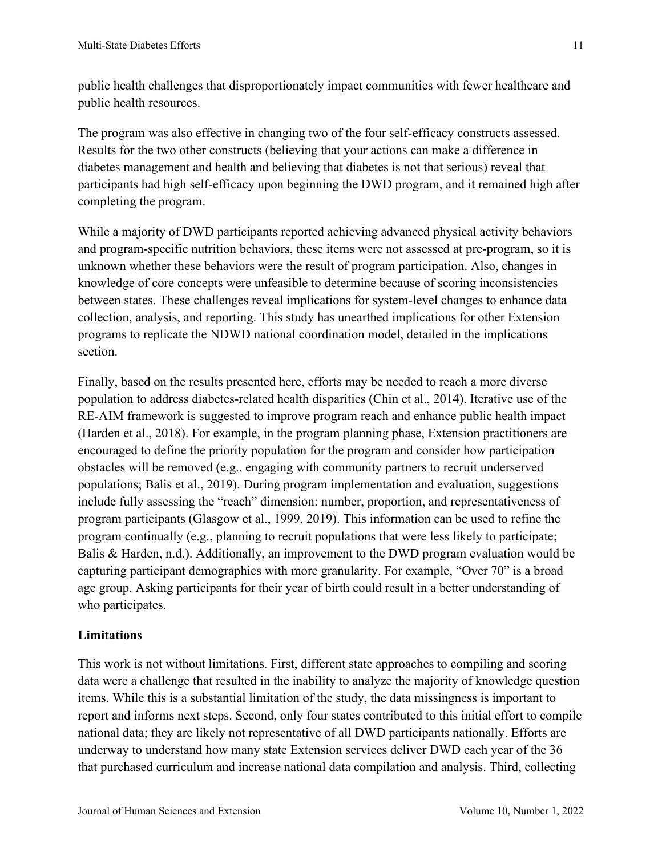public health challenges that disproportionately impact communities with fewer healthcare and public health resources.

The program was also effective in changing two of the four self-efficacy constructs assessed. Results for the two other constructs (believing that your actions can make a difference in diabetes management and health and believing that diabetes is not that serious) reveal that participants had high self-efficacy upon beginning the DWD program, and it remained high after completing the program.

While a majority of DWD participants reported achieving advanced physical activity behaviors and program-specific nutrition behaviors, these items were not assessed at pre-program, so it is unknown whether these behaviors were the result of program participation. Also, changes in knowledge of core concepts were unfeasible to determine because of scoring inconsistencies between states. These challenges reveal implications for system-level changes to enhance data collection, analysis, and reporting. This study has unearthed implications for other Extension programs to replicate the NDWD national coordination model, detailed in the implications section.

Finally, based on the results presented here, efforts may be needed to reach a more diverse population to address diabetes-related health disparities (Chin et al., 2014). Iterative use of the RE-AIM framework is suggested to improve program reach and enhance public health impact (Harden et al., 2018). For example, in the program planning phase, Extension practitioners are encouraged to define the priority population for the program and consider how participation obstacles will be removed (e.g., engaging with community partners to recruit underserved populations; Balis et al., 2019). During program implementation and evaluation, suggestions include fully assessing the "reach" dimension: number, proportion, and representativeness of program participants (Glasgow et al., 1999, 2019). This information can be used to refine the program continually (e.g., planning to recruit populations that were less likely to participate; Balis & Harden, n.d.). Additionally, an improvement to the DWD program evaluation would be capturing participant demographics with more granularity. For example, "Over 70" is a broad age group. Asking participants for their year of birth could result in a better understanding of who participates.

## **Limitations**

This work is not without limitations. First, different state approaches to compiling and scoring data were a challenge that resulted in the inability to analyze the majority of knowledge question items. While this is a substantial limitation of the study, the data missingness is important to report and informs next steps. Second, only four states contributed to this initial effort to compile national data; they are likely not representative of all DWD participants nationally. Efforts are underway to understand how many state Extension services deliver DWD each year of the 36 that purchased curriculum and increase national data compilation and analysis. Third, collecting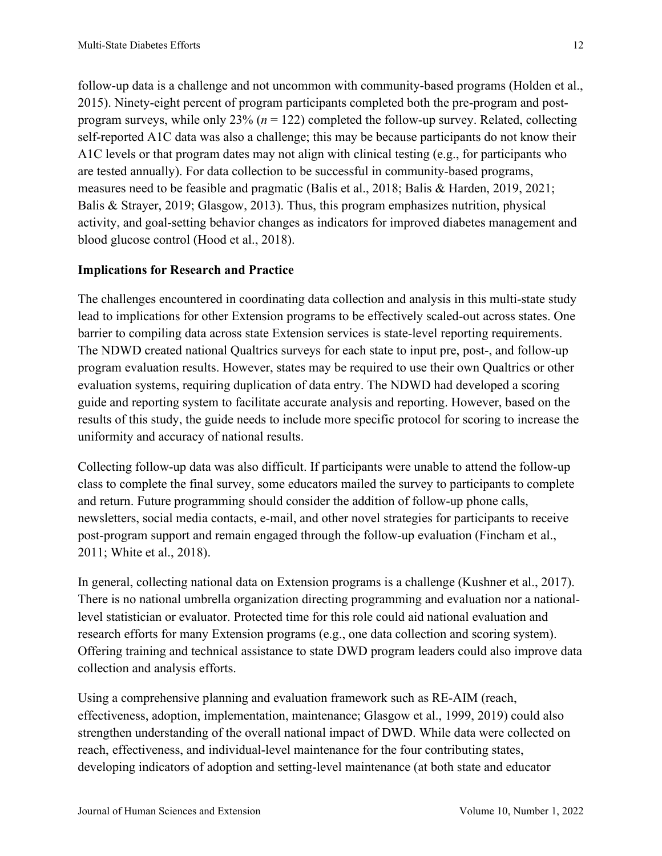follow-up data is a challenge and not uncommon with community-based programs (Holden et al., 2015). Ninety-eight percent of program participants completed both the pre-program and postprogram surveys, while only 23% (*n* = 122) completed the follow-up survey. Related, collecting self-reported A1C data was also a challenge; this may be because participants do not know their A1C levels or that program dates may not align with clinical testing (e.g., for participants who are tested annually). For data collection to be successful in community-based programs, measures need to be feasible and pragmatic (Balis et al., 2018; Balis & Harden, 2019, 2021; Balis & Strayer, 2019; Glasgow, 2013). Thus, this program emphasizes nutrition, physical activity, and goal-setting behavior changes as indicators for improved diabetes management and blood glucose control (Hood et al., 2018).

## **Implications for Research and Practice**

The challenges encountered in coordinating data collection and analysis in this multi-state study lead to implications for other Extension programs to be effectively scaled-out across states. One barrier to compiling data across state Extension services is state-level reporting requirements. The NDWD created national Qualtrics surveys for each state to input pre, post-, and follow-up program evaluation results. However, states may be required to use their own Qualtrics or other evaluation systems, requiring duplication of data entry. The NDWD had developed a scoring guide and reporting system to facilitate accurate analysis and reporting. However, based on the results of this study, the guide needs to include more specific protocol for scoring to increase the uniformity and accuracy of national results.

Collecting follow-up data was also difficult. If participants were unable to attend the follow-up class to complete the final survey, some educators mailed the survey to participants to complete and return. Future programming should consider the addition of follow-up phone calls, newsletters, social media contacts, e-mail, and other novel strategies for participants to receive post-program support and remain engaged through the follow-up evaluation (Fincham et al., 2011; White et al., 2018).

In general, collecting national data on Extension programs is a challenge (Kushner et al., 2017). There is no national umbrella organization directing programming and evaluation nor a nationallevel statistician or evaluator. Protected time for this role could aid national evaluation and research efforts for many Extension programs (e.g., one data collection and scoring system). Offering training and technical assistance to state DWD program leaders could also improve data collection and analysis efforts.

Using a comprehensive planning and evaluation framework such as RE-AIM (reach, effectiveness, adoption, implementation, maintenance; Glasgow et al., 1999, 2019) could also strengthen understanding of the overall national impact of DWD. While data were collected on reach, effectiveness, and individual-level maintenance for the four contributing states, developing indicators of adoption and setting-level maintenance (at both state and educator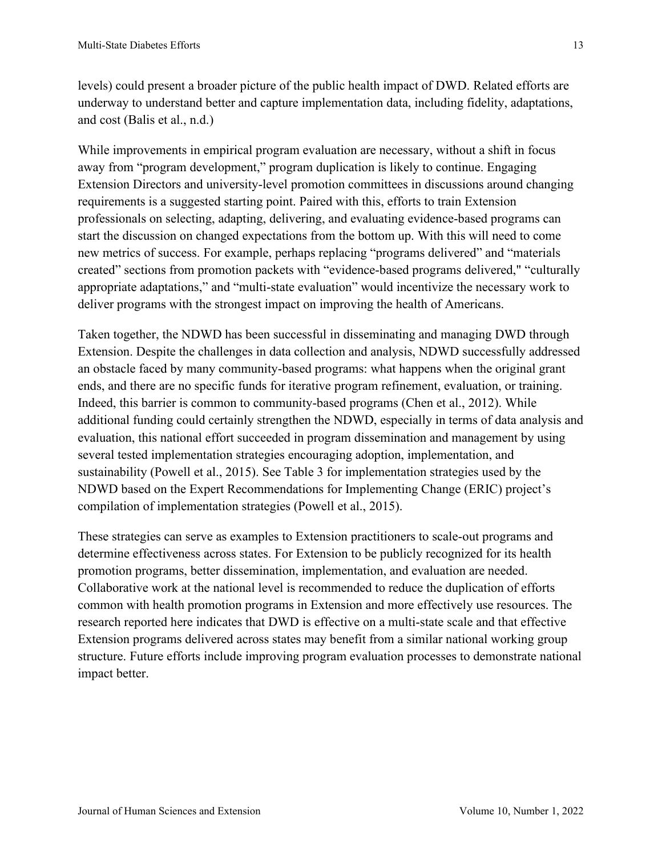levels) could present a broader picture of the public health impact of DWD. Related efforts are underway to understand better and capture implementation data, including fidelity, adaptations, and cost (Balis et al., n.d.)

While improvements in empirical program evaluation are necessary, without a shift in focus away from "program development," program duplication is likely to continue. Engaging Extension Directors and university-level promotion committees in discussions around changing requirements is a suggested starting point. Paired with this, efforts to train Extension professionals on selecting, adapting, delivering, and evaluating evidence-based programs can start the discussion on changed expectations from the bottom up. With this will need to come new metrics of success. For example, perhaps replacing "programs delivered" and "materials created" sections from promotion packets with "evidence-based programs delivered," "culturally appropriate adaptations," and "multi-state evaluation" would incentivize the necessary work to deliver programs with the strongest impact on improving the health of Americans.

Taken together, the NDWD has been successful in disseminating and managing DWD through Extension. Despite the challenges in data collection and analysis, NDWD successfully addressed an obstacle faced by many community-based programs: what happens when the original grant ends, and there are no specific funds for iterative program refinement, evaluation, or training. Indeed, this barrier is common to community-based programs (Chen et al., 2012). While additional funding could certainly strengthen the NDWD, especially in terms of data analysis and evaluation, this national effort succeeded in program dissemination and management by using several tested implementation strategies encouraging adoption, implementation, and sustainability (Powell et al., 2015). See Table 3 for implementation strategies used by the NDWD based on the Expert Recommendations for Implementing Change (ERIC) project's compilation of implementation strategies (Powell et al., 2015).

These strategies can serve as examples to Extension practitioners to scale-out programs and determine effectiveness across states. For Extension to be publicly recognized for its health promotion programs, better dissemination, implementation, and evaluation are needed. Collaborative work at the national level is recommended to reduce the duplication of efforts common with health promotion programs in Extension and more effectively use resources. The research reported here indicates that DWD is effective on a multi-state scale and that effective Extension programs delivered across states may benefit from a similar national working group structure. Future efforts include improving program evaluation processes to demonstrate national impact better.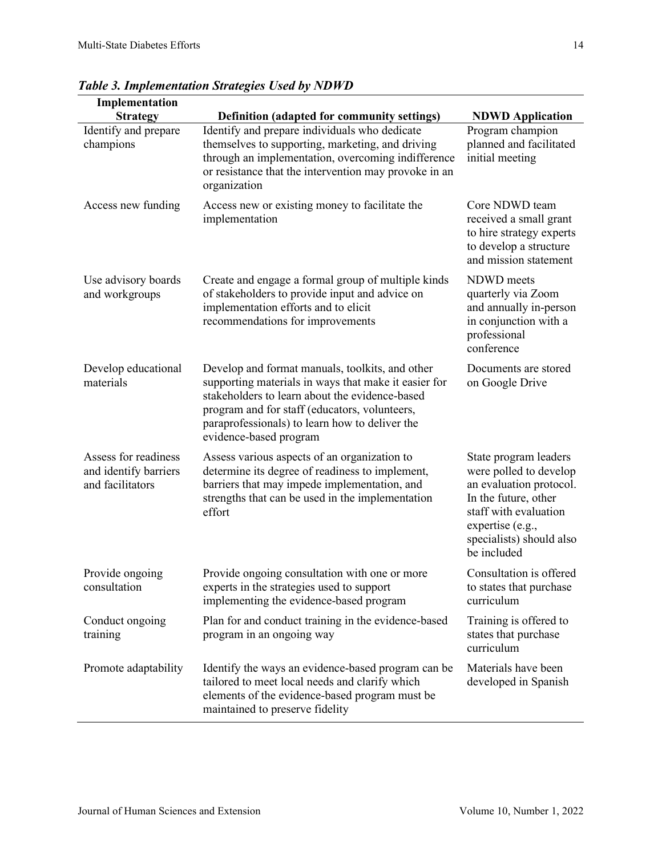| Implementation                                                    |                                                                                                                                                                                                                                                                                        |                                                                                                                                                                                            |
|-------------------------------------------------------------------|----------------------------------------------------------------------------------------------------------------------------------------------------------------------------------------------------------------------------------------------------------------------------------------|--------------------------------------------------------------------------------------------------------------------------------------------------------------------------------------------|
| <b>Strategy</b>                                                   | Definition (adapted for community settings)                                                                                                                                                                                                                                            | <b>NDWD</b> Application                                                                                                                                                                    |
| Identify and prepare<br>champions                                 | Identify and prepare individuals who dedicate<br>themselves to supporting, marketing, and driving<br>through an implementation, overcoming indifference<br>or resistance that the intervention may provoke in an<br>organization                                                       | Program champion<br>planned and facilitated<br>initial meeting                                                                                                                             |
| Access new funding                                                | Access new or existing money to facilitate the<br>implementation                                                                                                                                                                                                                       | Core NDWD team<br>received a small grant<br>to hire strategy experts<br>to develop a structure<br>and mission statement                                                                    |
| Use advisory boards<br>and workgroups                             | Create and engage a formal group of multiple kinds<br>of stakeholders to provide input and advice on<br>implementation efforts and to elicit<br>recommendations for improvements                                                                                                       | NDWD meets<br>quarterly via Zoom<br>and annually in-person<br>in conjunction with a<br>professional<br>conference                                                                          |
| Develop educational<br>materials                                  | Develop and format manuals, toolkits, and other<br>supporting materials in ways that make it easier for<br>stakeholders to learn about the evidence-based<br>program and for staff (educators, volunteers,<br>paraprofessionals) to learn how to deliver the<br>evidence-based program | Documents are stored<br>on Google Drive                                                                                                                                                    |
| Assess for readiness<br>and identify barriers<br>and facilitators | Assess various aspects of an organization to<br>determine its degree of readiness to implement,<br>barriers that may impede implementation, and<br>strengths that can be used in the implementation<br>effort                                                                          | State program leaders<br>were polled to develop<br>an evaluation protocol.<br>In the future, other<br>staff with evaluation<br>expertise (e.g.,<br>specialists) should also<br>be included |
| Provide ongoing<br>consultation                                   | Provide ongoing consultation with one or more<br>experts in the strategies used to support<br>implementing the evidence-based program                                                                                                                                                  | Consultation is offered<br>to states that purchase<br>curriculum                                                                                                                           |
| Conduct ongoing<br>training                                       | Plan for and conduct training in the evidence-based<br>program in an ongoing way                                                                                                                                                                                                       | Training is offered to<br>states that purchase<br>curriculum                                                                                                                               |
| Promote adaptability                                              | Identify the ways an evidence-based program can be<br>tailored to meet local needs and clarify which<br>elements of the evidence-based program must be<br>maintained to preserve fidelity                                                                                              | Materials have been<br>developed in Spanish                                                                                                                                                |

*Table 3. Implementation Strategies Used by NDWD*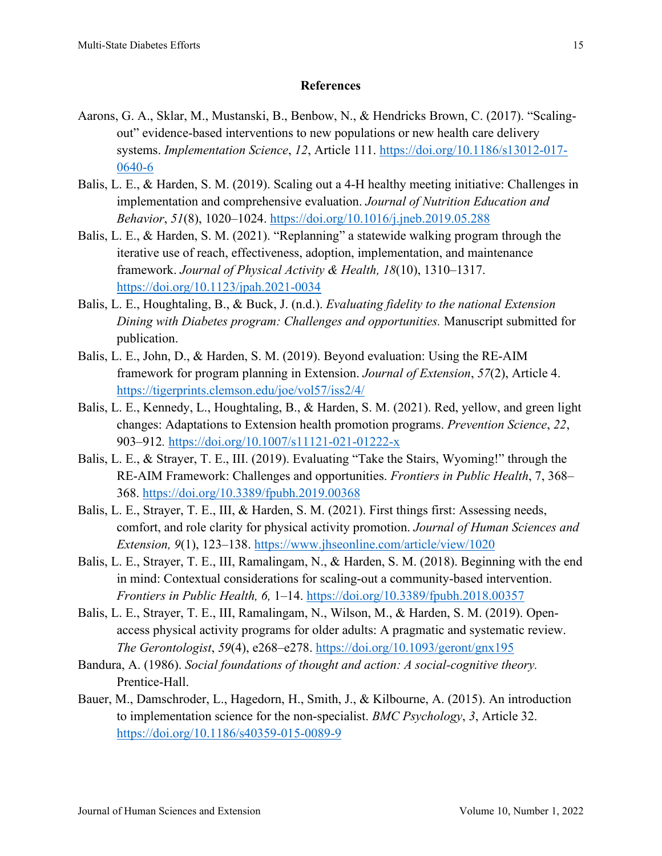## **References**

- Aarons, G. A., Sklar, M., Mustanski, B., Benbow, N., & Hendricks Brown, C. (2017). "Scalingout" evidence-based interventions to new populations or new health care delivery systems. *Implementation Science*, *12*, Article 111. [https://doi.org/10.1186/s13012-017-](https://doi.org/10.1186/s13012-017-0640-6) [0640-6](https://doi.org/10.1186/s13012-017-0640-6)
- Balis, L. E., & Harden, S. M. (2019). Scaling out a 4-H healthy meeting initiative: Challenges in implementation and comprehensive evaluation. *Journal of Nutrition Education and Behavior*, *51*(8), 1020–1024. <https://doi.org/10.1016/j.jneb.2019.05.288>
- Balis, L. E., & Harden, S. M. (2021). "Replanning" a statewide walking program through the iterative use of reach, effectiveness, adoption, implementation, and maintenance framework. *Journal of Physical Activity & Health, 18*(10), 1310–1317. <https://doi.org/10.1123/jpah.2021-0034>
- Balis, L. E., Houghtaling, B., & Buck, J. (n.d.). *Evaluating fidelity to the national Extension Dining with Diabetes program: Challenges and opportunities.* Manuscript submitted for publication.
- Balis, L. E., John, D., & Harden, S. M. (2019). Beyond evaluation: Using the RE-AIM framework for program planning in Extension. *Journal of Extension*, *57*(2), Article 4. <https://tigerprints.clemson.edu/joe/vol57/iss2/4/>
- Balis, L. E., Kennedy, L., Houghtaling, B., & Harden, S. M. (2021). Red, yellow, and green light changes: Adaptations to Extension health promotion programs. *Prevention Science*, *22*, 903–912*.* <https://doi.org/10.1007/s11121-021-01222-x>
- Balis, L. E., & Strayer, T. E., III. (2019). Evaluating "Take the Stairs, Wyoming!" through the RE-AIM Framework: Challenges and opportunities. *Frontiers in Public Health*, 7, 368– 368.<https://doi.org/10.3389/fpubh.2019.00368>
- Balis, L. E., Strayer, T. E., III, & Harden, S. M. (2021). First things first: Assessing needs, comfort, and role clarity for physical activity promotion. *Journal of Human Sciences and Extension, 9*(1), 123–138. <https://www.jhseonline.com/article/view/1020>
- Balis, L. E., Strayer, T. E., III, Ramalingam, N., & Harden, S. M. (2018). Beginning with the end in mind: Contextual considerations for scaling-out a community-based intervention. *Frontiers in Public Health, 6,* 1–14.<https://doi.org/10.3389/fpubh.2018.00357>
- Balis, L. E., Strayer, T. E., III, Ramalingam, N., Wilson, M., & Harden, S. M. (2019). Openaccess physical activity programs for older adults: A pragmatic and systematic review. *The Gerontologist*, *59*(4), e268–e278. <https://doi.org/10.1093/geront/gnx195>
- Bandura, A. (1986). *Social foundations of thought and action: A social-cognitive theory.* Prentice-Hall.
- Bauer, M., Damschroder, L., Hagedorn, H., Smith, J., & Kilbourne, A. (2015). An introduction to implementation science for the non-specialist. *BMC Psychology*, *3*, Article 32. <https://doi.org/10.1186/s40359-015-0089-9>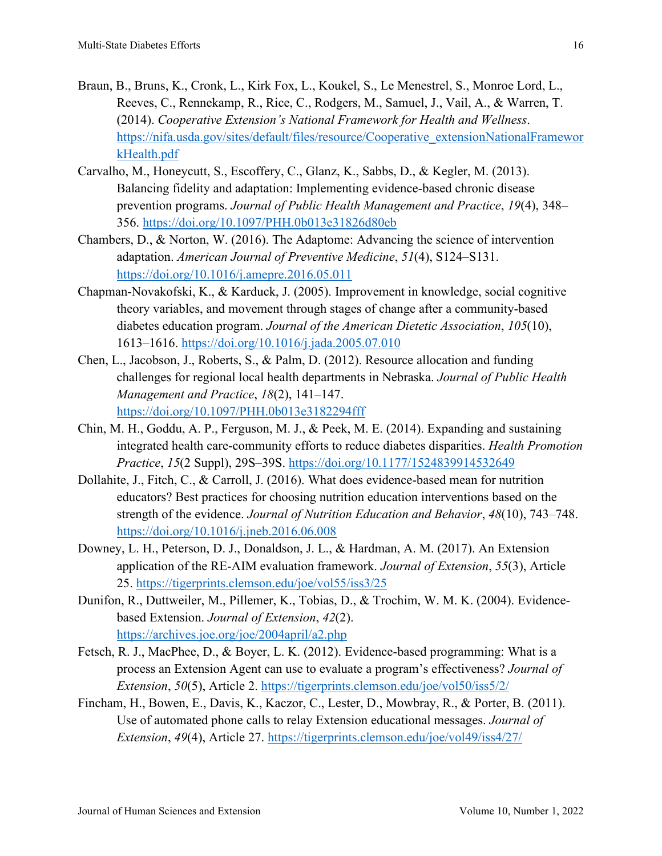- Braun, B., Bruns, K., Cronk, L., Kirk Fox, L., Koukel, S., Le Menestrel, S., Monroe Lord, L., Reeves, C., Rennekamp, R., Rice, C., Rodgers, M., Samuel, J., Vail, A., & Warren, T. (2014). *Cooperative Extension's National Framework for Health and Wellness*. [https://nifa.usda.gov/sites/default/files/resource/Cooperative\\_extensionNationalFramewor](https://nifa.usda.gov/sites/default/files/resource/Cooperative_extensionNationalFrameworkHealth.pdf) [kHealth.pdf](https://nifa.usda.gov/sites/default/files/resource/Cooperative_extensionNationalFrameworkHealth.pdf)
- Carvalho, M., Honeycutt, S., Escoffery, C., Glanz, K., Sabbs, D., & Kegler, M. (2013). Balancing fidelity and adaptation: Implementing evidence-based chronic disease prevention programs. *Journal of Public Health Management and Practice*, *19*(4), 348– 356.<https://doi.org/10.1097/PHH.0b013e31826d80eb>
- Chambers, D., & Norton, W. (2016). The Adaptome: Advancing the science of intervention adaptation. *American Journal of Preventive Medicine*, *51*(4), S124–S131. <https://doi.org/10.1016/j.amepre.2016.05.011>
- Chapman-Novakofski, K., & Karduck, J. (2005). Improvement in knowledge, social cognitive theory variables, and movement through stages of change after a community-based diabetes education program. *Journal of the American Dietetic Association*, *105*(10), 1613–1616. <https://doi.org/10.1016/j.jada.2005.07.010>
- Chen, L., Jacobson, J., Roberts, S., & Palm, D. (2012). Resource allocation and funding challenges for regional local health departments in Nebraska. *Journal of Public Health Management and Practice*, *18*(2), 141–147. <https://doi.org/10.1097/PHH.0b013e3182294fff>
- Chin, M. H., Goddu, A. P., Ferguson, M. J., & Peek, M. E. (2014). Expanding and sustaining integrated health care-community efforts to reduce diabetes disparities. *Health Promotion Practice*, *15*(2 Suppl), 29S–39S.<https://doi.org/10.1177/1524839914532649>
- Dollahite, J., Fitch, C., & Carroll, J. (2016). What does evidence-based mean for nutrition educators? Best practices for choosing nutrition education interventions based on the strength of the evidence. *Journal of Nutrition Education and Behavior*, *48*(10), 743–748. <https://doi.org/10.1016/j.jneb.2016.06.008>
- Downey, L. H., Peterson, D. J., Donaldson, J. L., & Hardman, A. M. (2017). An Extension application of the RE-AIM evaluation framework. *Journal of Extension*, *55*(3), Article 25. <https://tigerprints.clemson.edu/joe/vol55/iss3/25>
- Dunifon, R., Duttweiler, M., Pillemer, K., Tobias, D., & Trochim, W. M. K. (2004). Evidencebased Extension. *Journal of Extension*, *42*(2). <https://archives.joe.org/joe/2004april/a2.php>
- Fetsch, R. J., MacPhee, D., & Boyer, L. K. (2012). Evidence-based programming: What is a process an Extension Agent can use to evaluate a program's effectiveness? *Journal of Extension*, *50*(5), Article 2.<https://tigerprints.clemson.edu/joe/vol50/iss5/2/>
- Fincham, H., Bowen, E., Davis, K., Kaczor, C., Lester, D., Mowbray, R., & Porter, B. (2011). Use of automated phone calls to relay Extension educational messages. *Journal of Extension*, *49*(4), Article 27. <https://tigerprints.clemson.edu/joe/vol49/iss4/27/>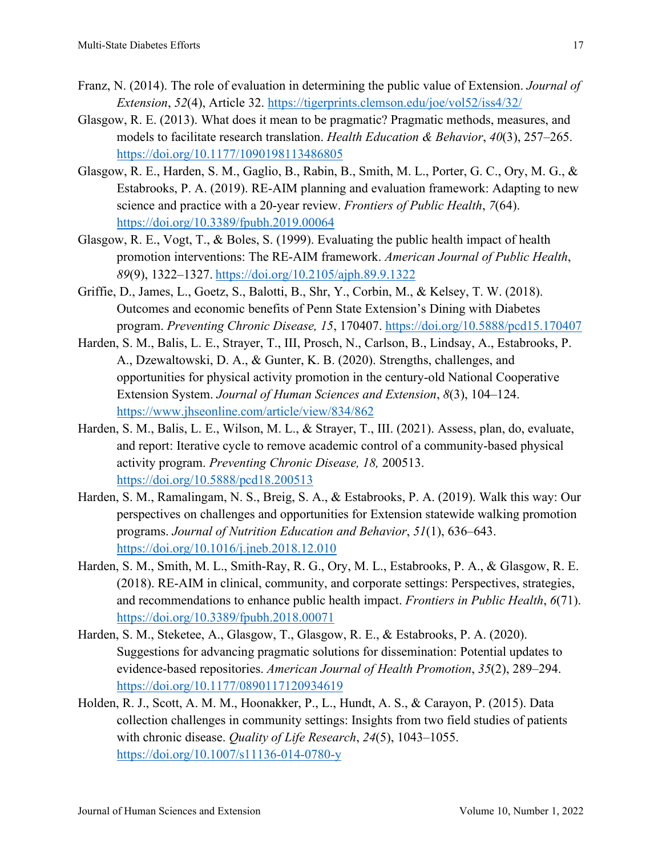- Franz, N. (2014). The role of evaluation in determining the public value of Extension. *Journal of Extension*, *52*(4), Article 32.<https://tigerprints.clemson.edu/joe/vol52/iss4/32/>
- Glasgow, R. E. (2013). What does it mean to be pragmatic? Pragmatic methods, measures, and models to facilitate research translation. *Health Education & Behavior*, *40*(3), 257–265. <https://doi.org/10.1177/1090198113486805>
- Glasgow, R. E., Harden, S. M., Gaglio, B., Rabin, B., Smith, M. L., Porter, G. C., Ory, M. G., & Estabrooks, P. A. (2019). RE-AIM planning and evaluation framework: Adapting to new science and practice with a 20-year review. *Frontiers of Public Health*, *7*(64). <https://doi.org/10.3389/fpubh.2019.00064>
- Glasgow, R. E., Vogt, T., & Boles, S. (1999). Evaluating the public health impact of health promotion interventions: The RE-AIM framework. *American Journal of Public Health*, *89*(9), 1322–1327. <https://doi.org/10.2105/ajph.89.9.1322>
- Griffie, D., James, L., Goetz, S., Balotti, B., Shr, Y., Corbin, M., & Kelsey, T. W. (2018). Outcomes and economic benefits of Penn State Extension's Dining with Diabetes program. *Preventing Chronic Disease, 15*, 170407.<https://doi.org/10.5888/pcd15.170407>
- Harden, S. M., Balis, L. E., Strayer, T., III, Prosch, N., Carlson, B., Lindsay, A., Estabrooks, P. A., Dzewaltowski, D. A., & Gunter, K. B. (2020). Strengths, challenges, and opportunities for physical activity promotion in the century-old National Cooperative Extension System. *Journal of Human Sciences and Extension*, *8*(3), 104–124. <https://www.jhseonline.com/article/view/834/862>
- Harden, S. M., Balis, L. E., Wilson, M. L., & Strayer, T., III. (2021). Assess, plan, do, evaluate, and report: Iterative cycle to remove academic control of a community-based physical activity program. *Preventing Chronic Disease, 18,* 200513. <https://doi.org/10.5888/pcd18.200513>
- Harden, S. M., Ramalingam, N. S., Breig, S. A., & Estabrooks, P. A. (2019). Walk this way: Our perspectives on challenges and opportunities for Extension statewide walking promotion programs. *Journal of Nutrition Education and Behavior*, *51*(1), 636–643. <https://doi.org/10.1016/j.jneb.2018.12.010>
- Harden, S. M., Smith, M. L., Smith-Ray, R. G., Ory, M. L., Estabrooks, P. A., & Glasgow, R. E. (2018). RE-AIM in clinical, community, and corporate settings: Perspectives, strategies, and recommendations to enhance public health impact. *Frontiers in Public Health*, *6*(71). <https://doi.org/10.3389/fpubh.2018.00071>
- Harden, S. M., Steketee, A., Glasgow, T., Glasgow, R. E., & Estabrooks, P. A. (2020). Suggestions for advancing pragmatic solutions for dissemination: Potential updates to evidence-based repositories. *American Journal of Health Promotion*, *35*(2), 289–294. <https://doi.org/10.1177/0890117120934619>
- Holden, R. J., Scott, A. M. M., Hoonakker, P., L., Hundt, A. S., & Carayon, P. (2015). Data collection challenges in community settings: Insights from two field studies of patients with chronic disease. *Quality of Life Research*, *24*(5), 1043–1055. <https://doi.org/10.1007/s11136-014-0780-y>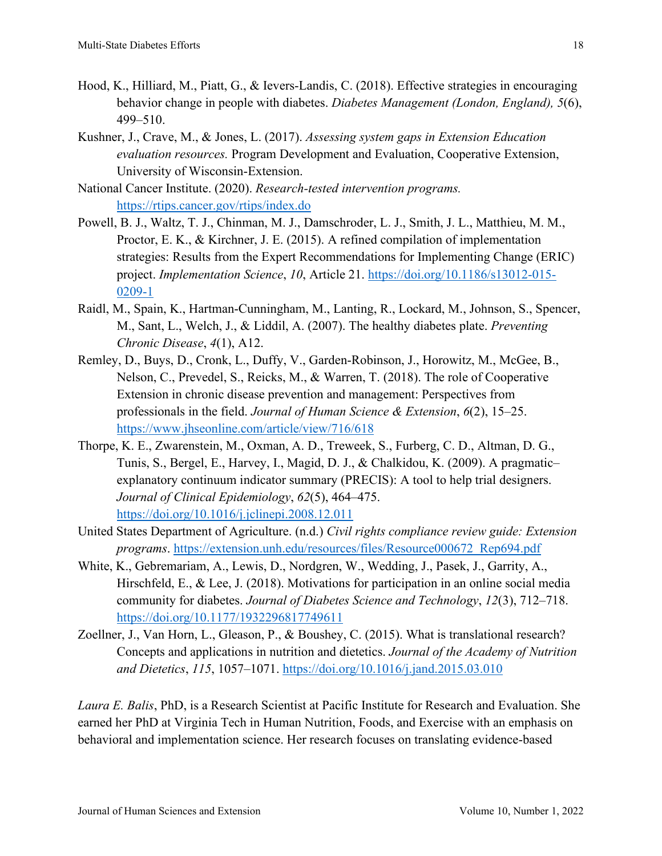- Hood, K., Hilliard, M., Piatt, G., & Ievers-Landis, C. (2018). Effective strategies in encouraging behavior change in people with diabetes. *Diabetes Management (London, England), 5*(6), 499–510.
- Kushner, J., Crave, M., & Jones, L. (2017). *Assessing system gaps in Extension Education evaluation resources.* Program Development and Evaluation, Cooperative Extension, University of Wisconsin-Extension.
- National Cancer Institute. (2020). *Research-tested intervention programs.*  <https://rtips.cancer.gov/rtips/index.do>
- Powell, B. J., Waltz, T. J., Chinman, M. J., Damschroder, L. J., Smith, J. L., Matthieu, M. M., Proctor, E. K., & Kirchner, J. E. (2015). A refined compilation of implementation strategies: Results from the Expert Recommendations for Implementing Change (ERIC) project. *Implementation Science*, *10*, Article 21. [https://doi.org/10.1186/s13012-015-](https://doi.org/10.1186/s13012-015-0209-1) [0209-1](https://doi.org/10.1186/s13012-015-0209-1)
- Raidl, M., Spain, K., Hartman-Cunningham, M., Lanting, R., Lockard, M., Johnson, S., Spencer, M., Sant, L., Welch, J., & Liddil, A. (2007). The healthy diabetes plate. *Preventing Chronic Disease*, *4*(1), A12.
- Remley, D., Buys, D., Cronk, L., Duffy, V., Garden-Robinson, J., Horowitz, M., McGee, B., Nelson, C., Prevedel, S., Reicks, M., & Warren, T. (2018). The role of Cooperative Extension in chronic disease prevention and management: Perspectives from professionals in the field. *Journal of Human Science & Extension*, *6*(2), 15–25. <https://www.jhseonline.com/article/view/716/618>
- Thorpe, K. E., Zwarenstein, M., Oxman, A. D., Treweek, S., Furberg, C. D., Altman, D. G., Tunis, S., Bergel, E., Harvey, I., Magid, D. J., & Chalkidou, K. (2009). A pragmatic– explanatory continuum indicator summary (PRECIS): A tool to help trial designers. *Journal of Clinical Epidemiology*, *62*(5), 464–475. <https://doi.org/10.1016/j.jclinepi.2008.12.011>
- United States Department of Agriculture. (n.d.) *Civil rights compliance review guide: Extension programs*. [https://extension.unh.edu/resources/files/Resource000672\\_Rep694.pdf](https://extension.unh.edu/resources/files/Resource000672_Rep694.pdf)
- White, K., Gebremariam, A., Lewis, D., Nordgren, W., Wedding, J., Pasek, J., Garrity, A., Hirschfeld, E., & Lee, J. (2018). Motivations for participation in an online social media community for diabetes. *Journal of Diabetes Science and Technology*, *12*(3), 712–718. <https://doi.org/10.1177/1932296817749611>
- Zoellner, J., Van Horn, L., Gleason, P., & Boushey, C. (2015). What is translational research? Concepts and applications in nutrition and dietetics. *Journal of the Academy of Nutrition and Dietetics*, *115*, 1057–1071.<https://doi.org/10.1016/j.jand.2015.03.010>

*Laura E. Balis*, PhD, is a Research Scientist at Pacific Institute for Research and Evaluation. She earned her PhD at Virginia Tech in Human Nutrition, Foods, and Exercise with an emphasis on behavioral and implementation science. Her research focuses on translating evidence-based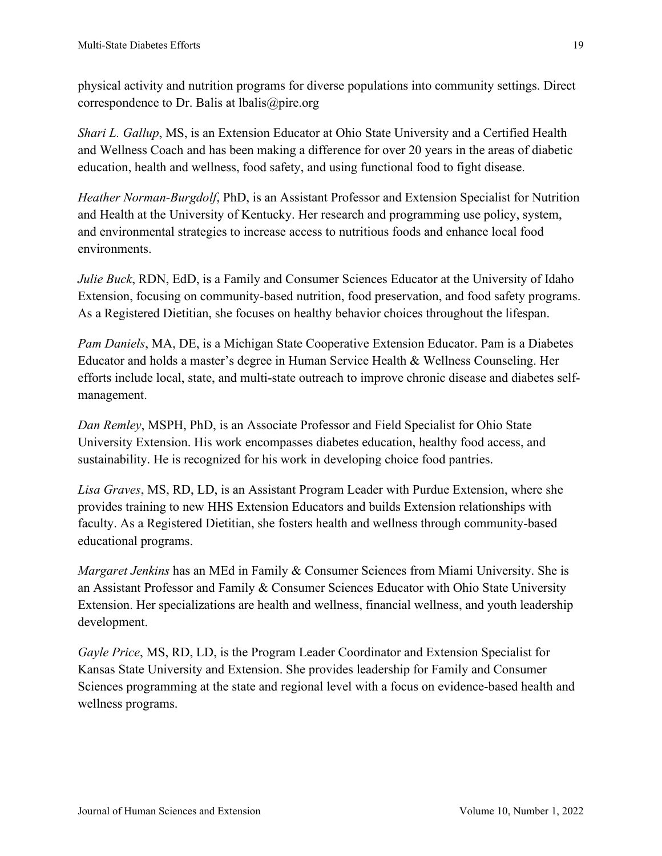physical activity and nutrition programs for diverse populations into community settings. Direct correspondence to Dr. Balis at lbalis@pire.org

*Shari L. Gallup*, MS, is an Extension Educator at Ohio State University and a Certified Health and Wellness Coach and has been making a difference for over 20 years in the areas of diabetic education, health and wellness, food safety, and using functional food to fight disease.

*Heather Norman-Burgdolf*, PhD, is an Assistant Professor and Extension Specialist for Nutrition and Health at the University of Kentucky. Her research and programming use policy, system, and environmental strategies to increase access to nutritious foods and enhance local food environments.

*Julie Buck*, RDN, EdD, is a Family and Consumer Sciences Educator at the University of Idaho Extension, focusing on community-based nutrition, food preservation, and food safety programs. As a Registered Dietitian, she focuses on healthy behavior choices throughout the lifespan.

*Pam Daniels*, MA, DE, is a Michigan State Cooperative Extension Educator. Pam is a Diabetes Educator and holds a master's degree in Human Service Health & Wellness Counseling. Her efforts include local, state, and multi-state outreach to improve chronic disease and diabetes selfmanagement.

*Dan Remley*, MSPH, PhD, is an Associate Professor and Field Specialist for Ohio State University Extension. His work encompasses diabetes education, healthy food access, and sustainability. He is recognized for his work in developing choice food pantries.

*Lisa Graves*, MS, RD, LD, is an Assistant Program Leader with Purdue Extension, where she provides training to new HHS Extension Educators and builds Extension relationships with faculty. As a Registered Dietitian, she fosters health and wellness through community-based educational programs.

*Margaret Jenkins* has an MEd in Family & Consumer Sciences from Miami University. She is an Assistant Professor and Family & Consumer Sciences Educator with Ohio State University Extension. Her specializations are health and wellness, financial wellness, and youth leadership development.

*Gayle Price*, MS, RD, LD, is the Program Leader Coordinator and Extension Specialist for Kansas State University and Extension. She provides leadership for Family and Consumer Sciences programming at the state and regional level with a focus on evidence-based health and wellness programs.